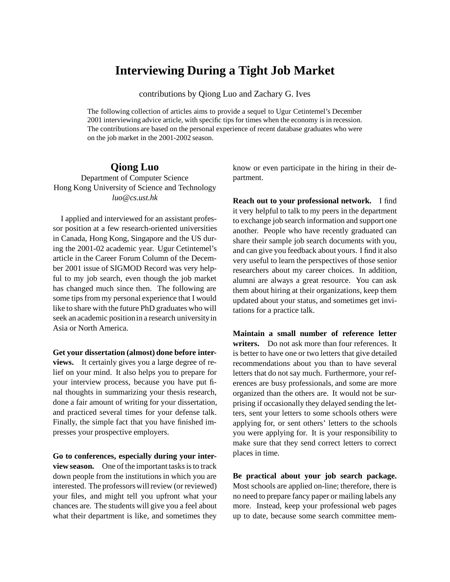# **Interviewing During a Tight Job Market**

contributions by Qiong Luo and Zachary G. Ives

The following collection of articles aims to provide a sequel to Ugur Cetintemel's December 2001 interviewing advice article, with specific tips for times when the economy is in recession. The contributions are based on the personal experience of recent database graduates who were on the job market in the 2001-2002 season.

#### **Qiong Luo**

Department of Computer Science Hong Kong University of Science and Technology *luo@cs.ust.hk*

I applied and interviewed for an assistant professor position at a few research-oriented universities in Canada, Hong Kong, Singapore and the US during the 2001-02 academic year. Ugur Cetintemel's article in the Career Forum Column of the December 2001 issue of SIGMOD Record was very helpful to my job search, even though the job market has changed much since then. The following are some tips from my personal experience that I would like to share with the future PhD graduates who will seek an academic positionin a research universityin Asia or North America.

**Get your dissertation (almost) done before interviews.** It certainly gives you a large degree of relief on your mind. It also helps you to prepare for your interview process, because you have put final thoughts in summarizing your thesis research, done a fair amount of writing for your dissertation, and practiced several times for your defense talk. Finally, the simple fact that you have finished impresses your prospective employers.

**Go to conferences, especially during your interview season.** One of the important tasks is to track down people from the institutions in which you are interested. The professors will review (or reviewed) your files, and might tell you upfront what your chances are. The students will give you a feel about what their department is like, and sometimes they

know or even participate in the hiring in their department.

**Reach out to your professional network.** I find it very helpful to talk to my peers in the department to exchange job search information and support one another. People who have recently graduated can share their sample job search documents with you, and can give you feedback about yours. I find it also very useful to learn the perspectives of those senior researchers about my career choices. In addition, alumni are always a great resource. You can ask them about hiring at their organizations, keep them updated about your status, and sometimes get invitations for a practice talk.

**Maintain a small number of reference letter writers.** Do not ask more than four references. It is better to have one or two letters that give detailed recommendations about you than to have several letters that do not say much. Furthermore, your references are busy professionals, and some are more organized than the others are. It would not be surprising if occasionally they delayed sending the letters, sent your letters to some schools others were applying for, or sent others' letters to the schools you were applying for. It is your responsibility to make sure that they send correct letters to correct places in time.

**Be practical about your job search package.** Most schools are applied on-line; therefore, there is no need to prepare fancy paper or mailing labels any more. Instead, keep your professional web pages up to date, because some search committee mem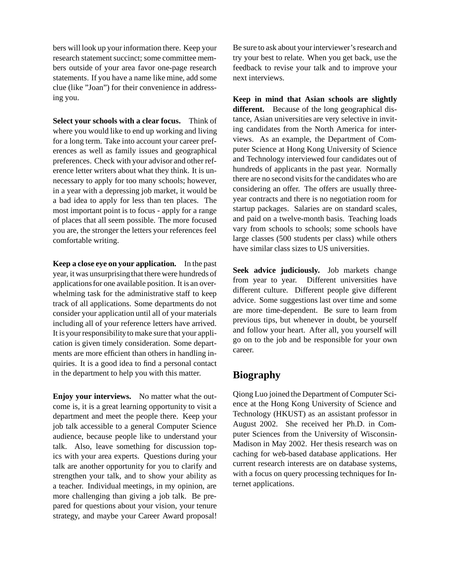bers will look up your information there. Keep your research statement succinct; some committee members outside of your area favor one-page research statements. If you have a name like mine, add some clue (like "Joan") for their convenience in addressing you.

**Select your schools with a clear focus.** Think of where you would like to end up working and living for a long term. Take into account your career preferences as well as family issues and geographical preferences. Check with your advisor and other reference letter writers about what they think. It is unnecessary to apply for too many schools; however, in a year with a depressing job market, it would be a bad idea to apply for less than ten places. The most important point is to focus - apply for a range of places that all seem possible. The more focused you are, the stronger the letters your references feel comfortable writing.

**Keep a close eye on your application.** In the past year, it was unsurprising that there were hundreds of applications for one available position. It is an overwhelming task for the administrative staff to keep track of all applications. Some departments do not consider your application until all of your materials including all of your reference letters have arrived. It is your responsibilityto make sure that your application is given timely consideration. Some departments are more efficient than others in handling inquiries. It is a good idea to find a personal contact in the department to help you with this matter.

**Enjoy your interviews.** No matter what the outcome is, it is a great learning opportunity to visit a department and meet the people there. Keep your job talk accessible to a general Computer Science audience, because people like to understand your talk. Also, leave something for discussion topics with your area experts. Questions during your talk are another opportunity for you to clarify and strengthen your talk, and to show your ability as a teacher. Individual meetings, in my opinion, are more challenging than giving a job talk. Be prepared for questions about your vision, your tenure strategy, and maybe your Career Award proposal!

Be sure to ask about your interviewer's research and try your best to relate. When you get back, use the feedback to revise your talk and to improve your next interviews.

**Keep in mind that Asian schools are slightly different.** Because of the long geographical distance, Asian universities are very selective in inviting candidates from the North America for interviews. As an example, the Department of Computer Science at Hong Kong University of Science and Technology interviewed four candidates out of hundreds of applicants in the past year. Normally there are no second visits for the candidates who are considering an offer. The offers are usually threeyear contracts and there is no negotiation room for startup packages. Salaries are on standard scales, and paid on a twelve-month basis. Teaching loads vary from schools to schools; some schools have large classes (500 students per class) while others have similar class sizes to US universities.

**Seek advice judiciously.** Job markets change from year to year. Different universities have different culture. Different people give different advice. Some suggestions last over time and some are more time-dependent. Be sure to learn from previous tips, but whenever in doubt, be yourself and follow your heart. After all, you yourself will go on to the job and be responsible for your own career.

### **Biography**

Qiong Luo joined the Department of Computer Science at the Hong Kong University of Science and Technology (HKUST) as an assistant professor in August 2002. She received her Ph.D. in Computer Sciences from the University of Wisconsin-Madison in May 2002. Her thesis research was on caching for web-based database applications. Her current research interests are on database systems, with a focus on query processing techniques for Internet applications.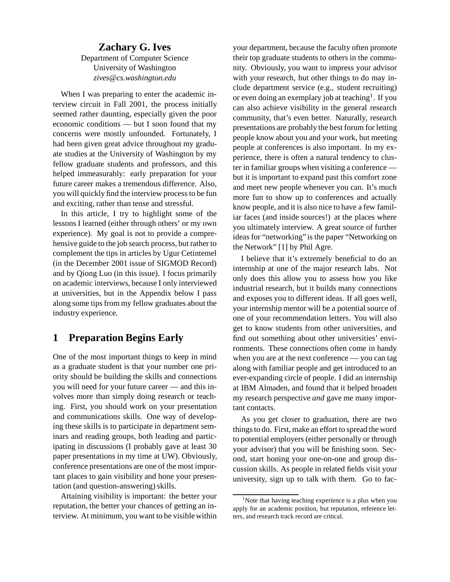#### **Zachary G. Ives** Department of Computer Science University of Washington *zives@cs.washington.edu*

When I was preparing to enter the academic interview circuit in Fall 2001, the process initially seemed rather daunting, especially given the poor economic conditions — but I soon found that my concerns were mostly unfounded. Fortunately, I had been given great advice throughout my graduate studies at the University of Washington by my fellow graduate students and professors, and this helped immeasurably: early preparation for your future career makes a tremendous difference. Also, you will quickly find the interview process to be fun and exciting, rather than tense and stressful.

In this article, I try to highlight some of the lessons I learned (either through others' or my own experience). My goal is not to provide a comprehensive guide to the job search process, but rather to complement the tips in articles by Ugur Cetintemel (in the December 2001 issue of SIGMOD Record) and by Qiong Luo (in this issue). I focus primarily on academic interviews, because I only interviewed at universities, but in the Appendix below I pass along some tips from my fellow graduates about the industry experience.

### **1 Preparation Begins Early**

One of the most important things to keep in mind as a graduate student is that your number one priority should be building the skills and connections you will need for your future career — and this involves more than simply doing research or teaching. First, you should work on your presentation and communications skills. One way of developing these skills is to participate in department seminars and reading groups, both leading and participating in discussions (I probably gave at least 30 paper presentations in my time at UW). Obviously, conference presentations are one of the most important places to gain visibility and hone your presentation (and question-answering) skills.

Attaining visibility is important: the better your reputation, the better your chances of getting an interview. At minimum, you want to be visible within

your department, because the faculty often promote their top graduate students to others in the community. Obviously, you want to impress your advisor with your research, but other things to do may include department service (e.g., student recruiting) or even doing an exemplary job at teaching<sup>1</sup>. If you can also achieve visibility in the general research community, that's even better. Naturally, research presentations are probably the best forum for letting people know about you and your work, but meeting people at conferences is also important. In my experience, there is often a natural tendency to cluster in familiar groups when visiting a conference but it is important to expand past this comfort zone and meet new people whenever you can. It's much more fun to show up to conferences and actually know people, and it is also nice to have a few familiar faces (and inside sources!) at the places where you ultimately interview. A great source of further ideas for "networking" is the paper "Networking on the Network" [1] by Phil Agre.

I believe that it's extremely beneficial to do an internship at one of the major research labs. Not only does this allow you to assess how you like industrial research, but it builds many connections and exposes you to different ideas. If all goes well, your internship mentor will be a potential source of one of your recommendation letters. You will also get to know students from other universities, and find out something about other universities' environments. These connections often come in handy when you are at the next conference — you can tag along with familiar people and get introduced to an ever-expanding circle of people. I did an internship at IBM Almaden, and found that it helped broaden my research perspective *and* gave me many important contacts.

As you get closer to graduation, there are two things to do. First, make an effort to spread the word to potential employers (either personally or through your advisor) that you will be finishing soon. Second, start honing your one-on-one and group discussion skills. As people in related fields visit your university, sign up to talk with them. Go to fac-

<sup>&</sup>lt;sup>1</sup>Note that having teaching experience is a plus when you apply for an academic position, but reputation, reference letters, and research track record are critical.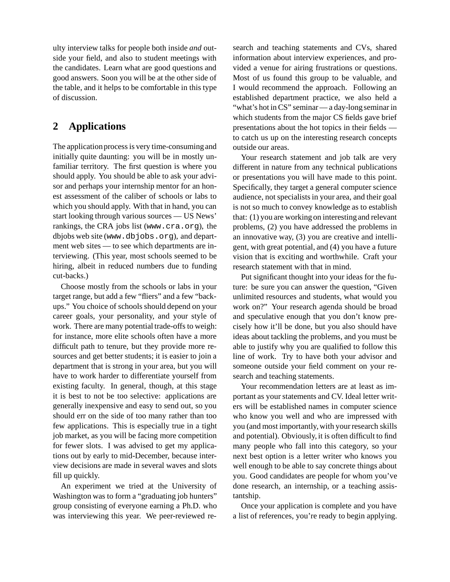ulty interview talks for people both inside *and* outside your field, and also to student meetings with the candidates. Learn what are good questions and good answers. Soon you will be at the other side of the table, and it helps to be comfortable in this type of discussion.

### **2 Applications**

The application process is very time-consuming and initially quite daunting: you will be in mostly unfamiliar territory. The first question is where you should apply. You should be able to ask your advisor and perhaps your internship mentor for an honest assessment of the caliber of schools or labs to which you should apply. With that in hand, you can start looking through various sources — US News' rankings, the CRA jobs list (www.cra.org), the dbjobs web site (www.dbjobs.org), and department web sites — to see which departments are interviewing. (This year, most schools seemed to be hiring, albeit in reduced numbers due to funding cut-backs.)

Choose mostly from the schools or labs in your target range, but add a few "fliers" and a few "backups." You choice of schools should depend on your career goals, your personality, and your style of work. There are many potential trade-offs to weigh: for instance, more elite schools often have a more difficult path to tenure, but they provide more resources and get better students; it is easier to join a department that is strong in your area, but you will have to work harder to differentiate yourself from existing faculty. In general, though, at this stage it is best to not be too selective: applications are generally inexpensive and easy to send out, so you should err on the side of too many rather than too few applications. This is especially true in a tight job market, as you will be facing more competition for fewer slots. I was advised to get my applications out by early to mid-December, because interview decisions are made in several waves and slots fill up quickly.

An experiment we tried at the University of Washington was to form a "graduating job hunters" group consisting of everyone earning a Ph.D. who was interviewing this year. We peer-reviewed re-

search and teaching statements and CVs, shared information about interview experiences, and provided a venue for airing frustrations or questions. Most of us found this group to be valuable, and I would recommend the approach. Following an established department practice, we also held a "what's hot in CS" seminar — a day-long seminar in which students from the major CS fields gave brief presentations about the hot topics in their fields to catch us up on the interesting research concepts outside our areas.

Your research statement and job talk are very different in nature from any technical publications or presentations you will have made to this point. Specifically, they target a general computer science audience, not specialists in your area, and their goal is not so much to convey knowledge as to establish that: (1) you are working on interesting and relevant problems, (2) you have addressed the problems in an innovative way, (3) you are creative and intelligent, with great potential, and (4) you have a future vision that is exciting and worthwhile. Craft your research statement with that in mind.

Put significant thought into your ideas for the future: be sure you can answer the question, "Given unlimited resources and students, what would you work on?" Your research agenda should be broad and speculative enough that you don't know precisely how it'll be done, but you also should have ideas about tackling the problems, and you must be able to justify why you are qualified to follow this line of work. Try to have both your advisor and someone outside your field comment on your research and teaching statements.

Your recommendation letters are at least as important as your statements and CV. Ideal letter writers will be established names in computer science who know you well and who are impressed with you (and most importantly, with your research skills and potential). Obviously, it is often difficult to find many people who fall into this category, so your next best option is a letter writer who knows you well enough to be able to say concrete things about you. Good candidates are people for whom you've done research, an internship, or a teaching assistantship.

Once your application is complete and you have a list of references, you're ready to begin applying.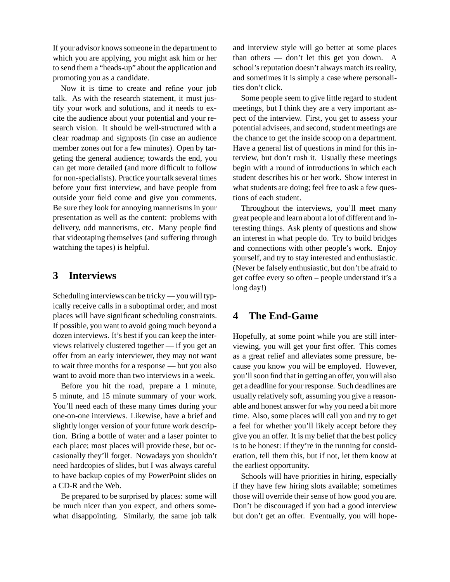If your advisor knows someone in the department to which you are applying, you might ask him or her to send them a "heads-up" about the application and promoting you as a candidate.

Now it is time to create and refine your job talk. As with the research statement, it must justify your work and solutions, and it needs to excite the audience about your potential and your research vision. It should be well-structured with a clear roadmap and signposts (in case an audience member zones out for a few minutes). Open by targeting the general audience; towards the end, you can get more detailed (and more difficult to follow for non-specialists). Practice your talk several times before your first interview, and have people from outside your field come and give you comments. Be sure they look for annoying mannerisms in your presentation as well as the content: problems with delivery, odd mannerisms, etc. Many people find that videotaping themselves (and suffering through watching the tapes) is helpful.

### **3 Interviews**

Scheduling interviews can be tricky — you will typically receive calls in a suboptimal order, and most places will have significant scheduling constraints. If possible, you want to avoid going much beyond a dozen interviews. It's best if you can keep the interviews relatively clustered together — if you get an offer from an early interviewer, they may not want to wait three months for a response — but you also want to avoid more than two interviews in a week.

Before you hit the road, prepare a 1 minute, 5 minute, and 15 minute summary of your work. You'll need each of these many times during your one-on-one interviews. Likewise, have a brief and slightly longer version of your future work description. Bring a bottle of water and a laser pointer to each place; most places will provide these, but occasionally they'll forget. Nowadays you shouldn't need hardcopies of slides, but I was always careful to have backup copies of my PowerPoint slides on a CD-R and the Web.

Be prepared to be surprised by places: some will be much nicer than you expect, and others somewhat disappointing. Similarly, the same job talk

and interview style will go better at some places than others — don't let this get you down. A school's reputation doesn't always match its reality, and sometimes it is simply a case where personalities don't click.

Some people seem to give little regard to student meetings, but I think they are a very important aspect of the interview. First, you get to assess your potential advisees, and second, student meetings are the chance to get the inside scoop on a department. Have a general list of questions in mind for this interview, but don't rush it. Usually these meetings begin with a round of introductions in which each student describes his or her work. Show interest in what students are doing; feel free to ask a few questions of each student.

Throughout the interviews, you'll meet many great people and learn about a lot of different and interesting things. Ask plenty of questions and show an interest in what people do. Try to build bridges and connections with other people's work. Enjoy yourself, and try to stay interested and enthusiastic. (Never be falsely enthusiastic, but don't be afraid to get coffee every so often – people understand it's a long day!)

#### **4 The End-Game**

Hopefully, at some point while you are still interviewing, you will get your first offer. This comes as a great relief and alleviates some pressure, because you know you will be employed. However, you'll soon find that in getting an offer, you will also get a deadline for your response. Such deadlines are usually relatively soft, assuming you give a reasonable and honest answer for why you need a bit more time. Also, some places will call you and try to get a feel for whether you'll likely accept before they give you an offer. It is my belief that the best policy is to be honest: if they're in the running for consideration, tell them this, but if not, let them know at the earliest opportunity.

Schools will have priorities in hiring, especially if they have few hiring slots available; sometimes those will override their sense of how good you are. Don't be discouraged if you had a good interview but don't get an offer. Eventually, you will hope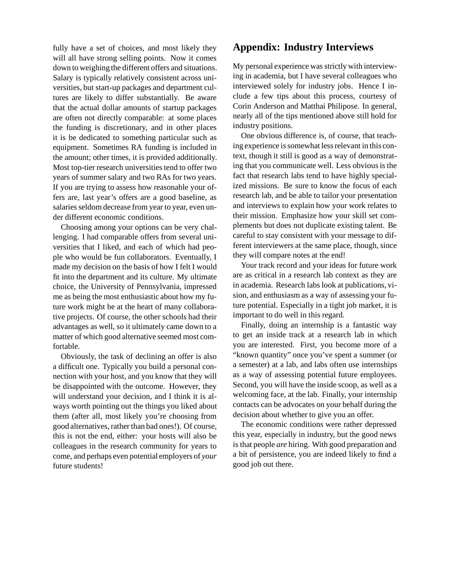fully have a set of choices, and most likely they will all have strong selling points. Now it comes down to weighing the different offers and situations. Salary is typically relatively consistent across universities, but start-up packages and department cultures are likely to differ substantially. Be aware that the actual dollar amounts of startup packages are often not directly comparable: at some places the funding is discretionary, and in other places it is be dedicated to something particular such as equipment. Sometimes RA funding is included in the amount; other times, it is provided additionally. Most top-tier research universities tend to offer two years of summer salary and two RAs for two years. If you are trying to assess how reasonable your offers are, last year's offers are a good baseline, as salaries seldom decrease from year to year, even under different economic conditions.

Choosing among your options can be very challenging. I had comparable offers from several universities that I liked, and each of which had people who would be fun collaborators. Eventually, I made my decision on the basis of how I felt I would fit into the department and its culture. My ultimate choice, the University of Pennsylvania, impressed me as being the most enthusiastic about how my future work might be at the heart of many collaborative projects. Of course, the other schools had their advantages as well, so it ultimately came down to a matter of which good alternative seemed most comfortable.

Obviously, the task of declining an offer is also a difficult one. Typically you build a personal connection with your host, and you know that they will be disappointed with the outcome. However, they will understand your decision, and I think it is always worth pointing out the things you liked about them (after all, most likely you're choosing from good alternatives, rather than bad ones!). Of course, this is not the end, either: your hosts will also be colleagues in the research community for years to come, and perhaps even potential employers of *your* future students!

#### **Appendix: Industry Interviews**

My personal experience was strictly with interviewing in academia, but I have several colleagues who interviewed solely for industry jobs. Hence I include a few tips about this process, courtesy of Corin Anderson and Matthai Philipose. In general, nearly all of the tips mentioned above still hold for industry positions.

One obvious difference is, of course, that teaching experience is somewhat less relevant in this context, though it still is good as a way of demonstrating that you communicate well. Less obvious is the fact that research labs tend to have highly specialized missions. Be sure to know the focus of each research lab, and be able to tailor your presentation and interviews to explain how your work relates to their mission. Emphasize how your skill set complements but does not duplicate existing talent. Be careful to stay consistent with your message to different interviewers at the same place, though, since they will compare notes at the end!

Your track record and your ideas for future work are as critical in a research lab context as they are in academia. Research labs look at publications, vision, and enthusiasm as a way of assessing your future potential. Especially in a tight job market, it is important to do well in this regard.

Finally, doing an internship is a fantastic way to get an inside track at a research lab in which you are interested. First, you become more of a "known quantity" once you've spent a summer (or a semester) at a lab, and labs often use internships as a way of assessing potential future employees. Second, you will have the inside scoop, as well as a welcoming face, at the lab. Finally, your internship contacts can be advocates on your behalf during the decision about whether to give you an offer.

The economic conditions were rather depressed this year, especially in industry, but the good news is that people *are* hiring. With good preparation and a bit of persistence, you are indeed likely to find a good job out there.